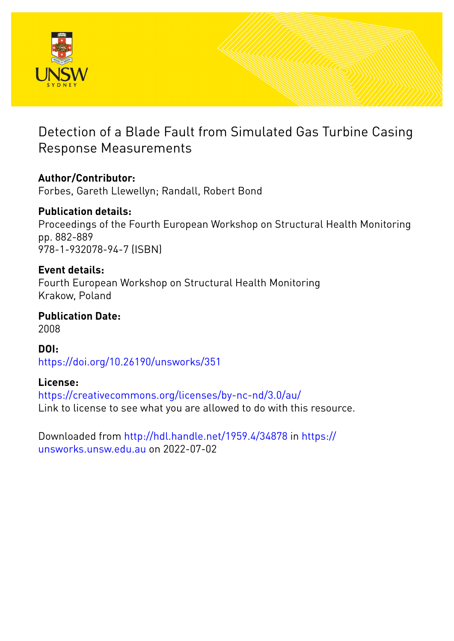

# Detection of a Blade Fault from Simulated Gas Turbine Casing Response Measurements

### **Author/Contributor:**

Forbes, Gareth Llewellyn; Randall, Robert Bond

# **Publication details:**

Proceedings of the Fourth European Workshop on Structural Health Monitoring pp. 882-889 978-1-932078-94-7 (ISBN)

### **Event details:**

Fourth European Workshop on Structural Health Monitoring Krakow, Poland

**Publication Date:** 2008

### **DOI:**

[https://doi.org/10.26190/unsworks/351](http://dx.doi.org/https://doi.org/10.26190/unsworks/351)

### **License:**

<https://creativecommons.org/licenses/by-nc-nd/3.0/au/> Link to license to see what you are allowed to do with this resource.

Downloaded from <http://hdl.handle.net/1959.4/34878> in [https://](https://unsworks.unsw.edu.au) [unsworks.unsw.edu.au](https://unsworks.unsw.edu.au) on 2022-07-02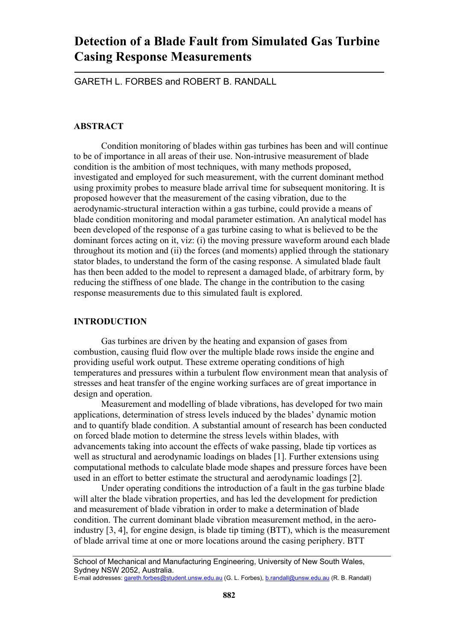## **Detection of a Blade Fault from Simulated Gas Turbine Casing Response Measurements**

GARETH L. FORBES and ROBERT B. RANDALL

#### **ABSTRACT**

Condition monitoring of blades within gas turbines has been and will continue to be of importance in all areas of their use. Non-intrusive measurement of blade condition is the ambition of most techniques, with many methods proposed, investigated and employed for such measurement, with the current dominant method using proximity probes to measure blade arrival time for subsequent monitoring. It is proposed however that the measurement of the casing vibration, due to the aerodynamic-structural interaction within a gas turbine, could provide a means of blade condition monitoring and modal parameter estimation. An analytical model has been developed of the response of a gas turbine casing to what is believed to be the dominant forces acting on it, viz: (i) the moving pressure waveform around each blade throughout its motion and (ii) the forces (and moments) applied through the stationary stator blades, to understand the form of the casing response. A simulated blade fault has then been added to the model to represent a damaged blade, of arbitrary form, by reducing the stiffness of one blade. The change in the contribution to the casing response measurements due to this simulated fault is explored.

#### **INTRODUCTION**

Gas turbines are driven by the heating and expansion of gases from combustion, causing fluid flow over the multiple blade rows inside the engine and providing useful work output. These extreme operating conditions of high temperatures and pressures within a turbulent flow environment mean that analysis of stresses and heat transfer of the engine working surfaces are of great importance in design and operation.

Measurement and modelling of blade vibrations, has developed for two main applications, determination of stress levels induced by the blades' dynamic motion and to quantify blade condition. A substantial amount of research has been conducted on forced blade motion to determine the stress levels within blades, with advancements taking into account the effects of wake passing, blade tip vortices as well as structural and aerodynamic loadings on blades [1]. Further extensions using computational methods to calculate blade mode shapes and pressure forces have been used in an effort to better estimate the structural and aerodynamic loadings [2].

Under operating conditions the introduction of a fault in the gas turbine blade will alter the blade vibration properties, and has led the development for prediction and measurement of blade vibration in order to make a determination of blade condition. The current dominant blade vibration measurement method, in the aeroindustry [3, 4], for engine design, is blade tip timing (BTT), which is the measurement of blade arrival time at one or more locations around the casing periphery. BTT

School of Mechanical and Manufacturing Engineering, University of New South Wales, Sydney NSW 2052, Australia.

E-mail addresses: gareth.forbes@student.unsw.edu.au (G. L. Forbes), b.randall@unsw.edu.au (R. B. Randall)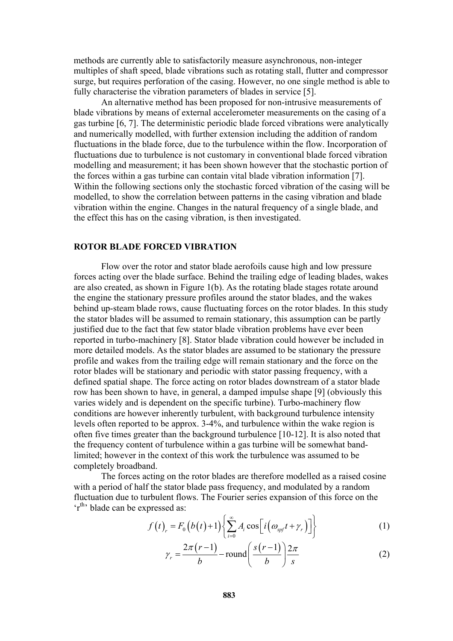methods are currently able to satisfactorily measure asynchronous, non-integer multiples of shaft speed, blade vibrations such as rotating stall, flutter and compressor surge, but requires perforation of the casing. However, no one single method is able to fully characterise the vibration parameters of blades in service [5].

An alternative method has been proposed for non-intrusive measurements of blade vibrations by means of external accelerometer measurements on the casing of a gas turbine [6, 7]. The deterministic periodic blade forced vibrations were analytically and numerically modelled, with further extension including the addition of random fluctuations in the blade force, due to the turbulence within the flow. Incorporation of fluctuations due to turbulence is not customary in conventional blade forced vibration modelling and measurement; it has been shown however that the stochastic portion of the forces within a gas turbine can contain vital blade vibration information [7]. Within the following sections only the stochastic forced vibration of the casing will be modelled, to show the correlation between patterns in the casing vibration and blade vibration within the engine. Changes in the natural frequency of a single blade, and the effect this has on the casing vibration, is then investigated.

#### **ROTOR BLADE FORCED VIBRATION**

Flow over the rotor and stator blade aerofoils cause high and low pressure forces acting over the blade surface. Behind the trailing edge of leading blades, wakes are also created, as shown in Figure 1(b). As the rotating blade stages rotate around the engine the stationary pressure profiles around the stator blades, and the wakes behind up-steam blade rows, cause fluctuating forces on the rotor blades. In this study the stator blades will be assumed to remain stationary, this assumption can be partly justified due to the fact that few stator blade vibration problems have ever been reported in turbo-machinery [8]. Stator blade vibration could however be included in more detailed models. As the stator blades are assumed to be stationary the pressure profile and wakes from the trailing edge will remain stationary and the force on the rotor blades will be stationary and periodic with stator passing frequency, with a defined spatial shape. The force acting on rotor blades downstream of a stator blade row has been shown to have, in general, a damped impulse shape [9] (obviously this varies widely and is dependent on the specific turbine). Turbo-machinery flow conditions are however inherently turbulent, with background turbulence intensity levels often reported to be approx. 3-4%, and turbulence within the wake region is often five times greater than the background turbulence [10-12]. It is also noted that the frequency content of turbulence within a gas turbine will be somewhat bandlimited; however in the context of this work the turbulence was assumed to be completely broadband.

The forces acting on the rotor blades are therefore modelled as a raised cosine with a period of half the stator blade pass frequency, and modulated by a random fluctuation due to turbulent flows. The Fourier series expansion of this force on the 'r<sup>th</sup>' blade can be expressed as:

$$
f(t)_r = F_0(b(t)+1)\left\{\sum_{i=0}^{\infty} A_i \cos\left[i\left(\omega_{\text{spf}}t + \gamma_r\right)\right]\right\} \tag{1}
$$

$$
\gamma_r = \frac{2\pi (r-1)}{b} - \text{round}\left(\frac{s(r-1)}{b}\right) \frac{2\pi}{s} \tag{2}
$$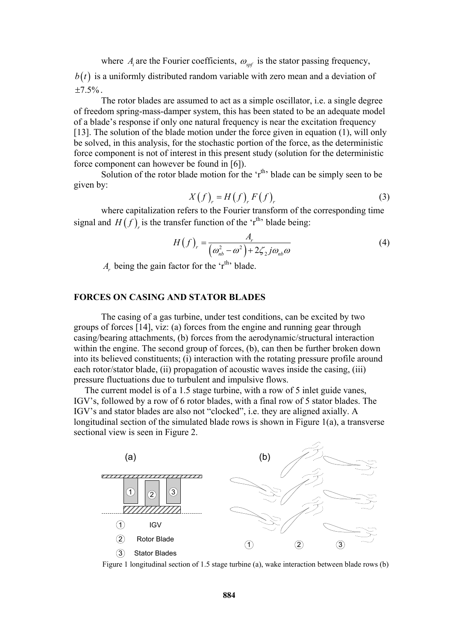where  $A_i$  are the Fourier coefficients,  $\omega_{\rm ref}$  is the stator passing frequency,  $b(t)$  is a uniformly distributed random variable with zero mean and a deviation of  $\pm 7.5\%$ .

The rotor blades are assumed to act as a simple oscillator, i.e. a single degree of freedom spring-mass-damper system, this has been stated to be an adequate model of a blade's response if only one natural frequency is near the excitation frequency [13]. The solution of the blade motion under the force given in equation (1), will only be solved, in this analysis, for the stochastic portion of the force, as the deterministic force component is not of interest in this present study (solution for the deterministic force component can however be found in [6]).

Solution of the rotor blade motion for the  $\mathbf{r}^{\text{th}}$  blade can be simply seen to be given by:

$$
X(f)_r = H(f)_r F(f)_r \tag{3}
$$

where capitalization refers to the Fourier transform of the corresponding time signal and  $H(f)$ <sub>r</sub> is the transfer function of the 'r<sup>th</sup>' blade being:

$$
H(f)_r = \frac{A_r}{\left(\omega_{nb}^2 - \omega^2\right) + 2\zeta_2 j\omega_{nb}\omega}
$$
 (4)

*A<sub>r</sub>* being the gain factor for the 'r<sup>th</sup>' blade.

#### **FORCES ON CASING AND STATOR BLADES**

The casing of a gas turbine, under test conditions, can be excited by two groups of forces [14], viz: (a) forces from the engine and running gear through casing/bearing attachments, (b) forces from the aerodynamic/structural interaction within the engine. The second group of forces, (b), can then be further broken down into its believed constituents; (i) interaction with the rotating pressure profile around each rotor/stator blade, (ii) propagation of acoustic waves inside the casing, (iii) pressure fluctuations due to turbulent and impulsive flows.

The current model is of a 1.5 stage turbine, with a row of 5 inlet guide vanes, IGV's, followed by a row of 6 rotor blades, with a final row of 5 stator blades. The IGV's and stator blades are also not "clocked", i.e. they are aligned axially. A longitudinal section of the simulated blade rows is shown in Figure 1(a), a transverse sectional view is seen in Figure 2.



Figure 1 longitudinal section of 1.5 stage turbine (a), wake interaction between blade rows (b)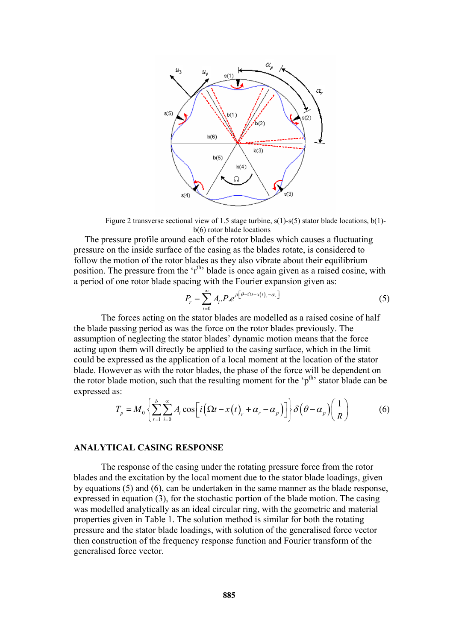

Figure 2 transverse sectional view of 1.5 stage turbine,  $s(1)$ - $s(5)$  stator blade locations, b(1)b(6) rotor blade locations

The pressure profile around each of the rotor blades which causes a fluctuating pressure on the inside surface of the casing as the blades rotate, is considered to follow the motion of the rotor blades as they also vibrate about their equilibrium position. The pressure from the  $f<sup>th</sup>$  blade is once again given as a raised cosine, with a period of one rotor blade spacing with the Fourier expansion given as:

$$
P_r = \sum_{i=0}^{\infty} A_i P \cdot e^{i t \left[\theta - \Omega t - x(t) - \alpha_r\right]}
$$
\n
$$
\tag{5}
$$

The forces acting on the stator blades are modelled as a raised cosine of half the blade passing period as was the force on the rotor blades previously. The assumption of neglecting the stator blades' dynamic motion means that the force acting upon them will directly be applied to the casing surface, which in the limit could be expressed as the application of a local moment at the location of the stator blade. However as with the rotor blades, the phase of the force will be dependent on the rotor blade motion, such that the resulting moment for the ' $p^{th}$ ' stator blade can be expressed as:

$$
T_p = M_0 \left\{ \sum_{r=1}^{b} \sum_{i=0}^{\infty} A_i \cos \left[ i \left( \Omega t - x(t) \right) + \alpha_r - \alpha_p \right) \right] \right\} \delta \left( \theta - \alpha_p \right) \left( \frac{1}{R} \right) \tag{6}
$$

#### **ANALYTICAL CASING RESPONSE**

The response of the casing under the rotating pressure force from the rotor blades and the excitation by the local moment due to the stator blade loadings, given by equations (5) and (6), can be undertaken in the same manner as the blade response, expressed in equation (3), for the stochastic portion of the blade motion. The casing was modelled analytically as an ideal circular ring, with the geometric and material properties given in Table 1. The solution method is similar for both the rotating pressure and the stator blade loadings, with solution of the generalised force vector then construction of the frequency response function and Fourier transform of the generalised force vector.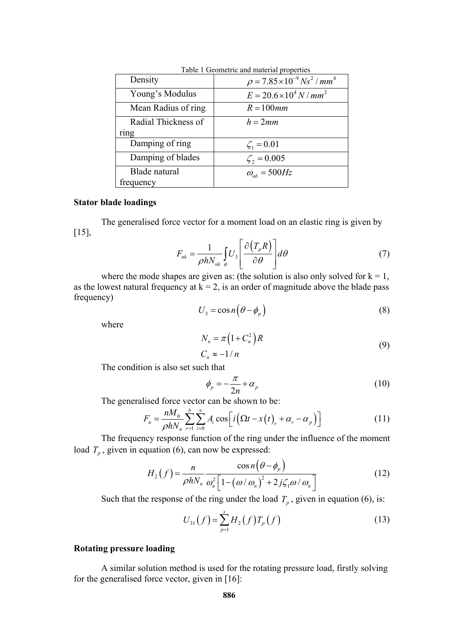| raole + Seometric and material properties |                                                                |
|-------------------------------------------|----------------------------------------------------------------|
| Density                                   | $\rho = 7.85 \times 10^{-9}$ Ns <sup>2</sup> / mm <sup>4</sup> |
| Young's Modulus                           | $E = 20.6 \times 10^4 N/mm^2$                                  |
| Mean Radius of ring                       | $R = 100$ mm                                                   |
| Radial Thickness of                       | $h = 2mm$                                                      |
| ring                                      |                                                                |
| Damping of ring                           | $\zeta_1 = 0.01$                                               |
| Damping of blades                         | $\zeta_2 = 0.005$                                              |
| Blade natural                             | $\omega_{nb} = 500$ Hz                                         |
| frequency                                 |                                                                |

Table 1 Geometric and material properties

#### **Stator blade loadings**

The generalised force vector for a moment load on an elastic ring is given by [15],

$$
F_{nk} = \frac{1}{\rho h N_{nk}} \int_{\theta} U_3 \left[ \frac{\partial (T_p R)}{\partial \theta} \right] d\theta \tag{7}
$$

where the mode shapes are given as: (the solution is also only solved for  $k = 1$ , as the lowest natural frequency at  $k = 2$ , is an order of magnitude above the blade pass frequency)

$$
U_3 = \cos n \left( \theta - \phi_p \right) \tag{8}
$$

where

$$
N_n = \pi \left( 1 + C_n^2 \right) R
$$
  
\n
$$
C_n \approx -1/n
$$
 (9)

The condition is also set such that

$$
\phi_p = -\frac{\pi}{2n} + \alpha_p \tag{10}
$$

The generalised force vector can be shown to be:

$$
F_n = \frac{nM_0}{\rho h N_n} \sum_{r=1}^{b} \sum_{i=0}^{\infty} A_i \cos \left[ i \left( \Omega t - x(t) \right) + \alpha_r - \alpha_p \right) \right]
$$
(11)

The frequency response function of the ring under the influence of the moment load  $T_p$ , given in equation (6), can now be expressed:

$$
H_2(f) = \frac{n}{\rho h N_n} \frac{\cos n(\theta - \phi_p)}{\omega_n^2 \left[1 - \left(\omega / \omega_n\right)^2 + 2j\zeta_1 \omega / \omega_n\right]}
$$
(12)

Such that the response of the ring under the load  $T_p$ , given in equation (6), is:

$$
U_{31}(f) = \sum_{p=1}^{s} H_2(f) T_p(f)
$$
 (13)

#### **Rotating pressure loading**

A similar solution method is used for the rotating pressure load, firstly solving for the generalised force vector, given in [16]: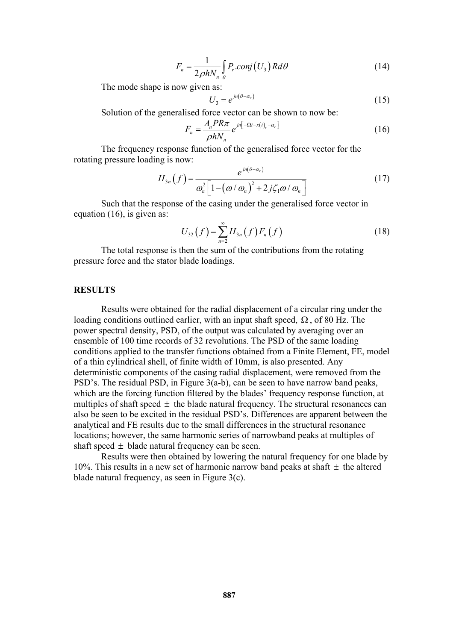$$
F_n = \frac{1}{2\rho h N_n} \int_{\theta} P_r \cdot \text{conj}(U_3) R d\theta \tag{14}
$$

The mode shape is now given as:

$$
U_3 = e^{jn(\theta - \alpha_r)}\tag{15}
$$

Solution of the generalised force vector can be shown to now be:

$$
F_n = \frac{A_n P R \pi}{\rho h N_n} e^{jn[-\Omega t - x(t)_r - \alpha_r]}
$$
\n(16)

The frequency response function of the generalised force vector for the rotating pressure loading is now:

$$
H_{3n}(f) = \frac{e^{jn(\theta - \alpha_r)}}{\omega_n^2 \left[1 - \left(\frac{\omega}{\omega_n}\right)^2 + 2j\zeta_1\omega/\omega_n\right]}
$$
(17)

Such that the response of the casing under the generalised force vector in equation (16), is given as:

$$
U_{32}(f) = \sum_{n=2}^{\infty} H_{3n}(f) F_n(f)
$$
 (18)

The total response is then the sum of the contributions from the rotating pressure force and the stator blade loadings.

#### **RESULTS**

Results were obtained for the radial displacement of a circular ring under the loading conditions outlined earlier, with an input shaft speed,  $\Omega$ , of 80 Hz. The power spectral density, PSD, of the output was calculated by averaging over an ensemble of 100 time records of 32 revolutions. The PSD of the same loading conditions applied to the transfer functions obtained from a Finite Element, FE, model of a thin cylindrical shell, of finite width of 10mm, is also presented. Any deterministic components of the casing radial displacement, were removed from the PSD's. The residual PSD, in Figure 3(a-b), can be seen to have narrow band peaks, which are the forcing function filtered by the blades' frequency response function, at multiples of shaft speed  $\pm$  the blade natural frequency. The structural resonances can also be seen to be excited in the residual PSD's. Differences are apparent between the analytical and FE results due to the small differences in the structural resonance locations; however, the same harmonic series of narrowband peaks at multiples of shaft speed  $\pm$  blade natural frequency can be seen.

Results were then obtained by lowering the natural frequency for one blade by 10%. This results in a new set of harmonic narrow band peaks at shaft  $\pm$  the altered blade natural frequency, as seen in Figure 3(c).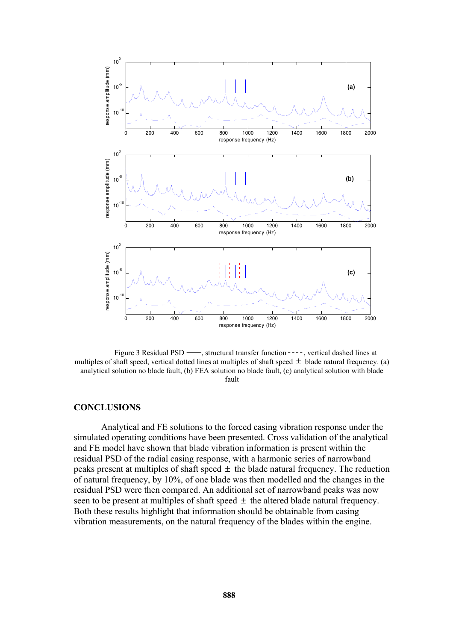

Figure 3 Residual PSD  $\rightarrow$ , structural transfer function  $\rightarrow$ , vertical dashed lines at multiples of shaft speed, vertical dotted lines at multiples of shaft speed  $\pm$  blade natural frequency. (a) analytical solution no blade fault, (b) FEA solution no blade fault, (c) analytical solution with blade fault

#### **CONCLUSIONS**

Analytical and FE solutions to the forced casing vibration response under the simulated operating conditions have been presented. Cross validation of the analytical and FE model have shown that blade vibration information is present within the residual PSD of the radial casing response, with a harmonic series of narrowband peaks present at multiples of shaft speed  $\pm$  the blade natural frequency. The reduction of natural frequency, by 10%, of one blade was then modelled and the changes in the residual PSD were then compared. An additional set of narrowband peaks was now seen to be present at multiples of shaft speed  $\pm$  the altered blade natural frequency. Both these results highlight that information should be obtainable from casing vibration measurements, on the natural frequency of the blades within the engine.